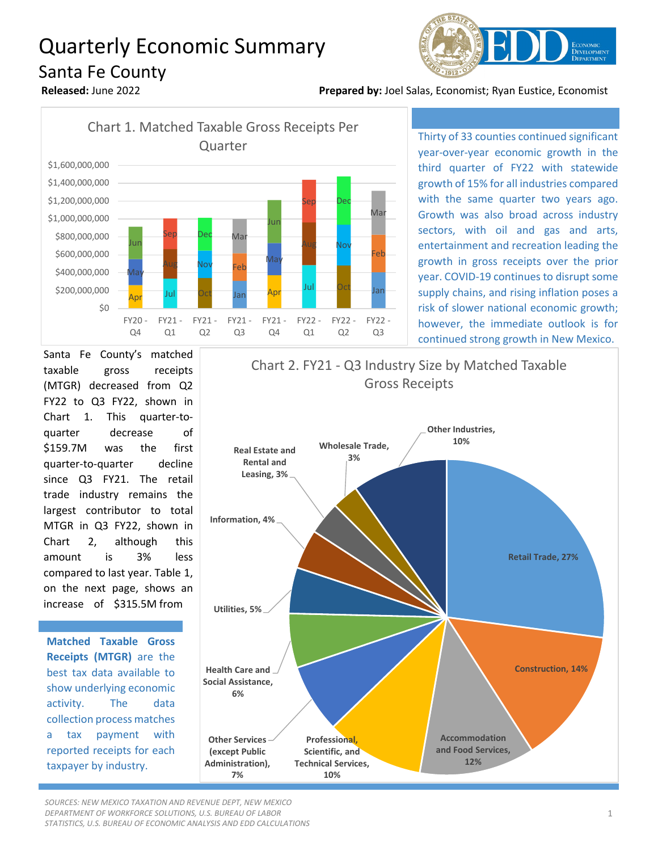## Quarterly Economic Summary Santa Fe County



**Released:** June 2022 **Prepared by:** Joel Salas, Economist; Ryan Eustice, Economist



Thirty of 33 counties continued significant year-over-year economic growth in the third quarter of FY22 with statewide growth of 15% for all industries compared with the same quarter two years ago. Growth was also broad across industry sectors, with oil and gas and arts, entertainment and recreation leading the growth in gross receipts over the prior year. COVID-19 continues to disrupt some supply chains, and rising inflation poses a risk of slower national economic growth; however, the immediate outlook is for continued strong growth in New Mexico.

Santa Fe County's matched taxable gross receipts (MTGR) decreased from Q2 FY22 to Q3 FY22, shown in Chart 1. This quarter-toquarter decrease of \$159.7M was the first quarter-to-quarter decline since Q3 FY21. The retail trade industry remains the largest contributor to total MTGR in Q3 FY22, shown in Chart 2, although this amount is 3% less compared to last year. Table 1, on the next page, shows an increase of \$315.5M from

**Matched Taxable Gross Receipts (MTGR)** are the best tax data available to show underlying economic activity. The data collection process matches a tax payment with reported receipts for each taxpayer by industry.



*SOURCES: NEW MEXICO TAXATION AND REVENUE DEPT, NEW MEXICO DEPARTMENT OF WORKFORCE SOLUTIONS, U.S. BUREAU OF LABOR STATISTICS, U.S. BUREAU OF ECONOMIC ANALYSIS AND EDD CALCULATIONS*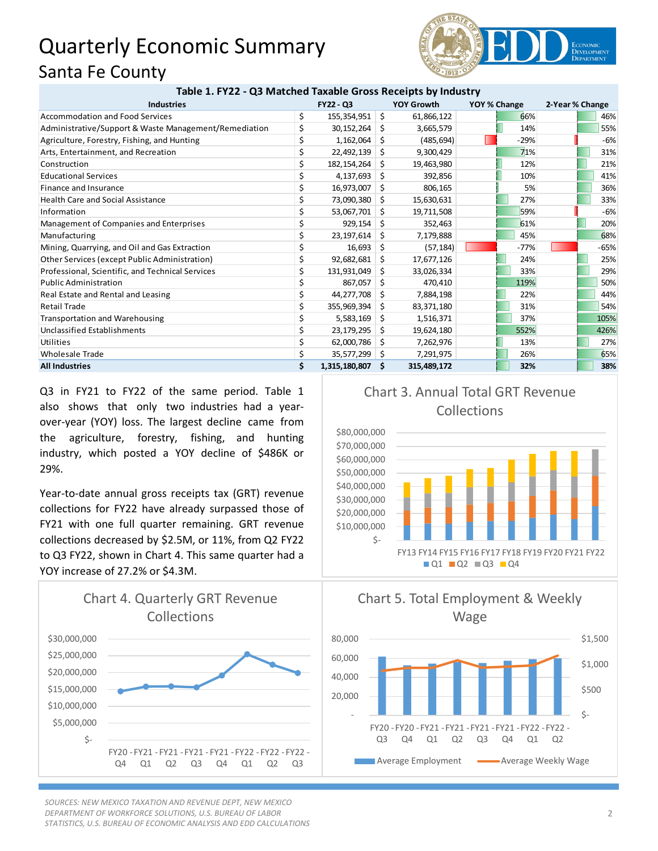## Quarterly Economic Summary Santa Fe County



| <b>Industries</b>                                     | <b>FY22 - Q3</b>       | <b>YOY Growth</b> |             | YOY % Change |        | 2-Year % Change |      |
|-------------------------------------------------------|------------------------|-------------------|-------------|--------------|--------|-----------------|------|
| Accommodation and Food Services                       | \$<br>155,354,951      | - \$              | 61,866,122  |              | 66%    |                 | 46%  |
| Administrative/Support & Waste Management/Remediation | \$<br>30,152,264       | Ŝ.                | 3,665,579   |              | 14%    |                 | 55%  |
| Agriculture, Forestry, Fishing, and Hunting           | \$<br>1,162,064        | Ŝ.                | (485, 694)  |              | $-29%$ |                 | -6%  |
| Arts, Entertainment, and Recreation                   | \$<br>22,492,139       | \$                | 9,300,429   |              | 71%    |                 | 31%  |
| Construction                                          | 182, 154, 264          | Ŝ.                | 19,463,980  |              | 12%    |                 | 21%  |
| <b>Educational Services</b>                           | 4,137,693              | S.                | 392,856     |              | 10%    |                 | 41%  |
| Finance and Insurance                                 | \$<br>16,973,007       | Ŝ.                | 806,165     |              | 5%     |                 | 36%  |
| <b>Health Care and Social Assistance</b>              | \$<br>73,090,380       | -S                | 15,630,631  |              | 27%    |                 | 33%  |
| Information                                           | 53,067,701             | \$                | 19,711,508  |              | 59%    |                 | -6%  |
| Management of Companies and Enterprises               | 929,154                | S.                | 352,463     |              | 61%    |                 | 20%  |
| Manufacturing                                         | \$<br>23,197,614       | S.                | 7,179,888   |              | 45%    |                 | 68%  |
| Mining, Quarrying, and Oil and Gas Extraction         | 16,693                 | \$.               | (57, 184)   |              | $-77%$ |                 | -65% |
| Other Services (except Public Administration)         | \$<br>92,682,681       | \$                | 17,677,126  |              | 24%    |                 | 25%  |
| Professional, Scientific, and Technical Services      | 131,931,049            | \$                | 33,026,334  |              | 33%    |                 | 29%  |
| <b>Public Administration</b>                          | \$<br>867,057          | Ŝ.                | 470,410     |              | 119%   |                 | 50%  |
| Real Estate and Rental and Leasing                    | \$<br>44,277,708       | -\$               | 7,884,198   |              | 22%    |                 | 44%  |
| <b>Retail Trade</b>                                   | \$<br>355,969,394      | \$                | 83,371,180  |              | 31%    |                 | 54%  |
| <b>Transportation and Warehousing</b>                 | \$<br>5,583,169        | \$                | 1,516,371   |              | 37%    |                 | 105% |
| <b>Unclassified Establishments</b>                    | 23,179,295             | -S                | 19,624,180  |              | 552%   |                 | 426% |
| Utilities                                             | \$<br>62,000,786       | Ŝ.                | 7,262,976   |              | 13%    |                 | 27%  |
| <b>Wholesale Trade</b>                                | \$<br>35,577,299 \$    |                   | 7,291,975   |              | 26%    |                 | 65%  |
| <b>All Industries</b>                                 | \$<br>1,315,180,807 \$ |                   | 315,489,172 |              | 32%    |                 | 38%  |

Q3 in FY21 to FY22 of the same period. Table 1 also shows that only two industries had a yearover-year (YOY) loss. The largest decline came from the agriculture, forestry, fishing, and hunting industry, which posted a YOY decline of \$486K or 29%.

Year-to-date annual gross receipts tax (GRT) revenue collections for FY22 have already surpassed those of FY21 with one full quarter remaining. GRT revenue collections decreased by \$2.5M, or 11%, from Q2 FY22 to Q3 FY22, shown in Chart 4. This same quarter had a YOY increase of 27.2% or \$4.3M.



*SOURCES: NEW MEXICO TAXATION AND REVENUE DEPT, NEW MEXICO DEPARTMENT OF WORKFORCE SOLUTIONS, U.S. BUREAU OF LABOR STATISTICS, U.S. BUREAU OF ECONOMIC ANALYSIS AND EDD CALCULATIONS*







## Collections